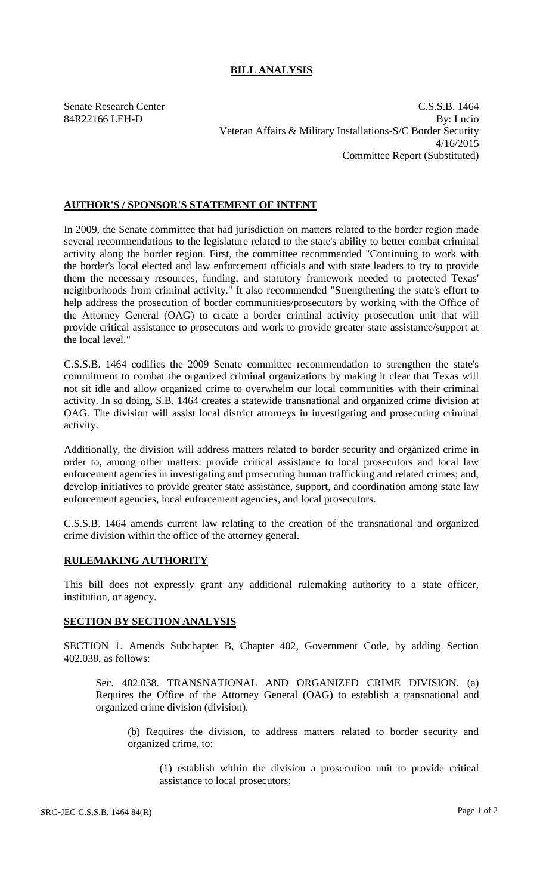## **BILL ANALYSIS**

Senate Research Center C.S.S.B. 1464 84R22166 LEH-D By: Lucio Veteran Affairs & Military Installations-S/C Border Security 4/16/2015 Committee Report (Substituted)

## **AUTHOR'S / SPONSOR'S STATEMENT OF INTENT**

In 2009, the Senate committee that had jurisdiction on matters related to the border region made several recommendations to the legislature related to the state's ability to better combat criminal activity along the border region. First, the committee recommended "Continuing to work with the border's local elected and law enforcement officials and with state leaders to try to provide them the necessary resources, funding, and statutory framework needed to protected Texas' neighborhoods from criminal activity." It also recommended "Strengthening the state's effort to help address the prosecution of border communities/prosecutors by working with the Office of the Attorney General (OAG) to create a border criminal activity prosecution unit that will provide critical assistance to prosecutors and work to provide greater state assistance/support at the local level."

C.S.S.B. 1464 codifies the 2009 Senate committee recommendation to strengthen the state's commitment to combat the organized criminal organizations by making it clear that Texas will not sit idle and allow organized crime to overwhelm our local communities with their criminal activity. In so doing, S.B. 1464 creates a statewide transnational and organized crime division at OAG. The division will assist local district attorneys in investigating and prosecuting criminal activity.

Additionally, the division will address matters related to border security and organized crime in order to, among other matters: provide critical assistance to local prosecutors and local law enforcement agencies in investigating and prosecuting human trafficking and related crimes; and, develop initiatives to provide greater state assistance, support, and coordination among state law enforcement agencies, local enforcement agencies, and local prosecutors.

C.S.S.B. 1464 amends current law relating to the creation of the transnational and organized crime division within the office of the attorney general.

## **RULEMAKING AUTHORITY**

This bill does not expressly grant any additional rulemaking authority to a state officer, institution, or agency.

## **SECTION BY SECTION ANALYSIS**

SECTION 1. Amends Subchapter B, Chapter 402, Government Code, by adding Section 402.038, as follows:

Sec. 402.038. TRANSNATIONAL AND ORGANIZED CRIME DIVISION. (a) Requires the Office of the Attorney General (OAG) to establish a transnational and organized crime division (division).

(b) Requires the division, to address matters related to border security and organized crime, to:

(1) establish within the division a prosecution unit to provide critical assistance to local prosecutors;